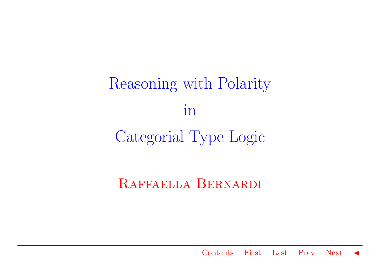Reasoning with Polarity in Categorial Type Logic

Raffaella Bernardi

[Contents](#page-1-0) First Last Prev Next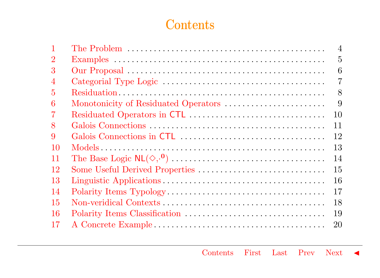#### **Contents**

<span id="page-1-0"></span>

|                | 4  |
|----------------|----|
| $\overline{2}$ | 5  |
| 3              | 6  |
| 4              | 7  |
| 5              | 8  |
| 6              | 9  |
| 7              | 10 |
| 8              | 11 |
| 9              | 12 |
| 10             | 13 |
| <b>11</b>      | 14 |
| 12             | 15 |
| 13             | 16 |
| 14             | 17 |
| 15             | 18 |
| -16            | 19 |
| 17             | 20 |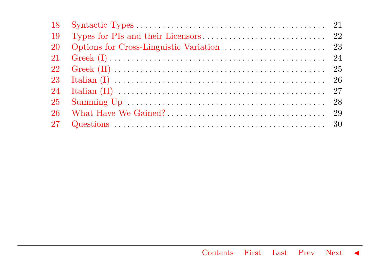| 19 |                                                                                                                                                |  |
|----|------------------------------------------------------------------------------------------------------------------------------------------------|--|
| 20 |                                                                                                                                                |  |
|    |                                                                                                                                                |  |
|    | 22 Greek (II) $\ldots$ $\ldots$ $\ldots$ $\ldots$ $\ldots$ $\ldots$ $\ldots$ $\ldots$ $\ldots$ $\ldots$ $\ldots$ $\ldots$ $\ldots$ $\ldots$ 25 |  |
|    |                                                                                                                                                |  |
|    |                                                                                                                                                |  |
|    |                                                                                                                                                |  |
|    |                                                                                                                                                |  |
|    |                                                                                                                                                |  |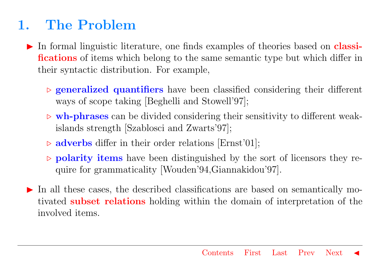# <span id="page-3-0"></span>1. The Problem

- In formal linguistic literature, one finds examples of theories based on classifications of items which belong to the same semantic type but which differ in their syntactic distribution. For example,
	- $\triangleright$  generalized quantifiers have been classified considering their different ways of scope taking [Beghelli and Stowell'97];
	- $\triangleright$  wh-phrases can be divided considering their sensitivity to different weakislands strength [Szablosci and Zwarts'97];
	- $\triangleright$  adverbs differ in their order relations [Ernst'01];
	- $\triangleright$  polarity items have been distinguished by the sort of licensors they require for grammaticality [Wouden'94,Giannakidou'97].
- $\triangleright$  In all these cases, the described classifications are based on semantically motivated subset relations holding within the domain of interpretation of the involved items.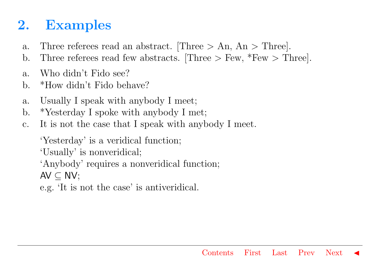## <span id="page-4-0"></span>2. Examples

- a. Three referees read an abstract. Three  $> An$ ,  $An > Three$ .
- b. Three referees read few abstracts. [Three  $>$  Few,  $*$ Few  $>$  Three].
- a. Who didn't Fido see?
- b. \*How didn't Fido behave?
- a. Usually I speak with anybody I meet;
- b. \*Yesterday I spoke with anybody I met;
- c. It is not the case that I speak with anybody I meet.

'Yesterday' is a veridical function;

'Usually' is nonveridical;

'Anybody' requires a nonveridical function;

 $AV \subseteq NV$ ;

e.g. 'It is not the case' is antiveridical.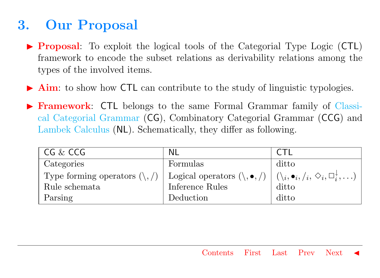### <span id="page-5-0"></span>3. Our Proposal

- $\triangleright$  Proposal: To exploit the logical tools of the Categorial Type Logic (CTL) framework to encode the subset relations as derivability relations among the types of the involved items.
- $\blacktriangleright$  Aim: to show how CTL can contribute to the study of linguistic typologies.
- **Framework:** CTL belongs to the same Formal Grammar family of [Classi](#page-4-0)[cal Categorial Grammar](#page-4-0) (CG), Combinatory Categorial Grammar (CCG) and [Lambek Calculus](#page-6-0) (NL). Schematically, they differ as following.

| CG $&$ CCG                                                                                                                                             | <b>NL</b>       |       |
|--------------------------------------------------------------------------------------------------------------------------------------------------------|-----------------|-------|
| Categories                                                                                                                                             | Formulas        | ditto |
| Type forming operators $(\setminus, /)$ Logical operators $(\setminus, \bullet, /)$ $(\setminus_i, \bullet_i, /_i, \Diamond_i, \Box_i^{\downarrow}, )$ |                 |       |
| Rule schemata                                                                                                                                          | Inference Rules | ditto |
| Parsing                                                                                                                                                | Deduction       | ditto |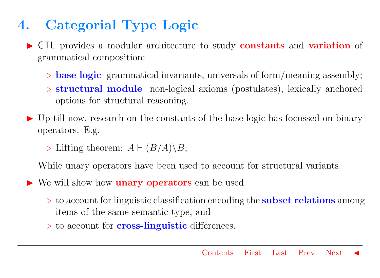# <span id="page-6-0"></span>4. Categorial Type Logic

- I CTL provides a modular architecture to study constants and variation of grammatical composition:
	- $\triangleright$  base logic grammatical invariants, universals of form/meaning assembly;
	- $\triangleright$  structural module non-logical axioms (postulates), lexically anchored options for structural reasoning.
- I Up till now, research on the constants of the base logic has focussed on binary operators. E.g.
	- $\triangleright$  Lifting theorem:  $A \vdash (B/A) \backslash B;$

While unary operators have been used to account for structural variants.

- ▶ We will show how **unary operators** can be used
	- $\triangleright$  to account for linguistic classification encoding the **subset relations** among items of the same semantic type, and
	- $\triangleright$  to account for **cross-linguistic** differences.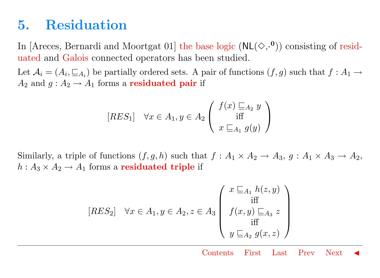#### <span id="page-7-0"></span>5. Residuation

In [Areces, Bernardi and Moortgat 01] the base logic  $(NL(\diamondsuit, \cdot^0))$  consisting of residuated and Galois connected operators has been studied.

Let  $\mathcal{A}_i = (A_i, \sqsubseteq_{A_i})$  be partially ordered sets. A pair of functions  $(f, g)$  such that  $f : A_1 \to$  $A_2$  and  $g: A_2 \to A_1$  forms a **residuated pair** if

$$
[RES_1] \quad \forall x \in A_1, y \in A_2 \left( \begin{array}{c} f(x) \sqsubseteq_{A_2} y \\ \text{iff} \\ x \sqsubseteq_{A_1} g(y) \end{array} \right)
$$

Similarly, a triple of functions  $(f, g, h)$  such that  $f : A_1 \times A_2 \rightarrow A_3$ ,  $g : A_1 \times A_3 \rightarrow A_2$ ,  $h: A_3 \times A_2 \rightarrow A_1$  forms a **residuated triple** if

$$
[RES_2] \quad \forall x \in A_1, y \in A_2, z \in A_3 \begin{pmatrix} x \sqsubseteq_{A_1} h(z, y) \\ \text{iff} \\ f(x, y) \sqsubseteq_{A_3} z \\ \text{iff} \\ y \sqsubseteq_{A_2} g(x, z) \end{pmatrix}
$$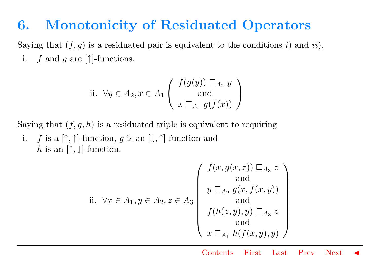#### <span id="page-8-0"></span>6. Monotonicity of Residuated Operators

Saying that  $(f, g)$  is a residuated pair is equivalent to the conditions i) and ii), i. f and g are  $\lceil \cdot \rceil$ -functions.

ii. 
$$
\forall y \in A_2, x \in A_1
$$
 
$$
\begin{pmatrix} f(g(y)) \sqsubseteq_{A_2} y \\ \text{and} \\ x \sqsubseteq_{A_1} g(f(x)) \end{pmatrix}
$$

Saying that  $(f, g, h)$  is a residuated triple is equivalent to requiring

i. f is a  $[\uparrow, \uparrow]$ -function, g is an  $[\downarrow, \uparrow]$ -function and h is an  $[\uparrow, \downarrow]$ -function.

ii. 
$$
\forall x \in A_1, y \in A_2, z \in A_3
$$
\n
$$
\begin{pmatrix}\nf(x, g(x, z)) \sqsubseteq_{A_3} z \\
\text{and} \\
y \sqsubseteq_{A_2} g(x, f(x, y)) \\
\text{and} \\
f(h(z, y), y) \sqsubseteq_{A_3} z \\
\text{and} \\
x \sqsubseteq_{A_1} h(f(x, y), y)\n\end{pmatrix}
$$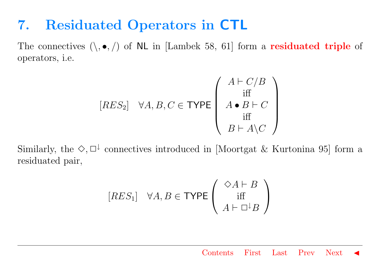### <span id="page-9-0"></span>7. Residuated Operators in CTL

The connectives  $(\cdot, \bullet, \cdot)$  of NL in [Lambek 58, 61] form a residuated triple of operators, i.e.

$$
[RES_2] \quad \forall A, B, C \in \text{TYPE} \left( \begin{array}{c} A \vdash C/B \\ \text{iff} \\ A \bullet B \vdash C \\ \text{iff} \\ B \vdash A \setminus C \end{array} \right)
$$

Similarly, the  $\diamondsuit, \Box^{\downarrow}$  connectives introduced in [Moortgat & Kurtonina 95] form a residuated pair,

$$
[RES_1] \quad \forall A, B \in \text{TYPE} \left( \begin{array}{c} \Diamond A \vdash B \\ \text{iff} \\ A \vdash \Box^{\downarrow} B \end{array} \right)
$$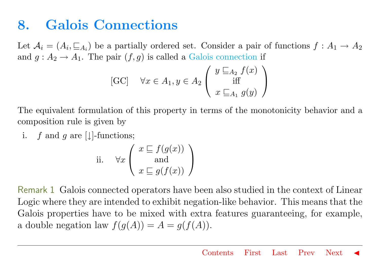#### <span id="page-10-0"></span>8. Galois Connections

Let  $A_i = (A_i, \underline{\sqsubseteq}_{A_i})$  be a partially ordered set. Consider a pair of functions  $f : A_1 \to A_2$ and  $g: A_2 \to A_1$ . The pair  $(f, g)$  is called a [Galois connection](#page-11-0) if

[GC] 
$$
\forall x \in A_1, y \in A_2 \begin{pmatrix} y \sqsubseteq_{A_2} f(x) \\ \text{iff} \\ x \sqsubseteq_{A_1} g(y) \end{pmatrix}
$$

The equivalent formulation of this property in terms of the monotonicity behavior and a composition rule is given by

i. f and g are [ $\downarrow$ ]-functions;

ii. 
$$
\forall x \begin{pmatrix} x \sqsubseteq f(g(x)) \\ \text{and} \\ x \sqsubseteq g(f(x)) \end{pmatrix}
$$

Remark 1 Galois connected operators have been also studied in the context of Linear Logic where they are intended to exhibit negation-like behavior. This means that the Galois properties have to be mixed with extra features guaranteeing, for example, a double negation law  $f(g(A)) = A = g(f(A)).$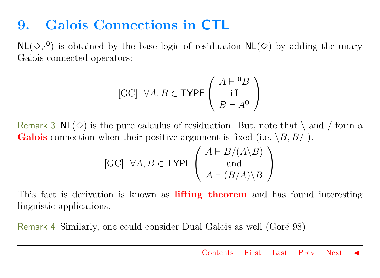#### <span id="page-11-0"></span>9. Galois Connections in CTL

 $NL(\diamondsuit, \cdot^0)$  is obtained by the base logic of residuation  $NL(\diamondsuit)$  by adding the unary Galois connected operators:

[GC] 
$$
\forall A, B \in \text{TYPE}\left(\begin{array}{c} A \vdash \n^{\text{0}}B \\ \text{iff} \\ B \vdash A^{\text{0}} \end{array}\right)
$$

Remark 3  $\mathsf{NL}(\diamondsuit)$  is the pure calculus of residuation. But, note that  $\setminus$  and / form a **Galois** connection when their positive argument is fixed (i.e.  $\setminus B$ ,  $B/$ ).

[GC] 
$$
\forall A, B \in \text{TYPE}\left(\begin{array}{c} A \vdash B/(A \backslash B) \\ \text{and} \\ A \vdash (B/A) \backslash B \end{array}\right)
$$

This fact is derivation is known as **lifting theorem** and has found interesting linguistic applications.

Remark 4 Similarly, one could consider Dual Galois as well (Goré 98).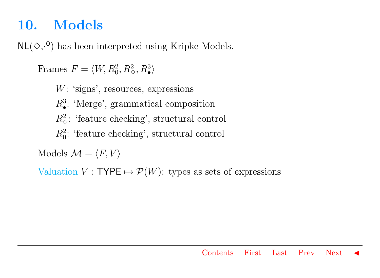#### <span id="page-12-0"></span>10. Models

 $NL(\diamondsuit, \cdot^0)$  has been interpreted using Kripke Models.

Frames  $F = \langle W, R_0^2, R_\diamond^2, R_\bullet^3 \rangle$ 

W: 'signs', resources, expressions

 $R^3_{\bullet}$ : 'Merge', grammatical composition

 $R^2_{\diamond}$ : 'feature checking', structural control

 $R_0^2$ : 'feature checking', structural control

Models  $\mathcal{M} = \langle F, V \rangle$ 

Valuation  $V : \text{TYPE} \mapsto \mathcal{P}(W)$ : types as sets of expressions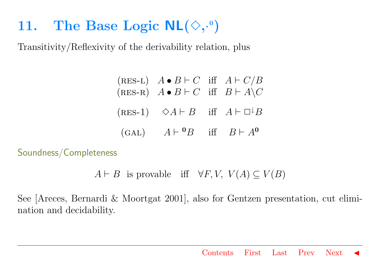# <span id="page-13-0"></span>11. The Base Logic  $NL(\Diamond, \cdot)$

Transitivity/Reflexivity of the derivability relation, plus

| $(RES-L)$ $A \bullet B \vdash C$ iff $A \vdash C/B$<br>$(RES-R)$ $A \bullet B \vdash C$ iff $B \vdash A \setminus C$ |  |
|----------------------------------------------------------------------------------------------------------------------|--|
| $(RES-1)$ $\diamond A \vdash B$ iff $A \vdash \Box^{\downarrow} B$                                                   |  |
| (GAL) $A \vdash^{0} B$ iff $B \vdash A^{0}$                                                                          |  |

Soundness/Completeness

```
A \vdash B is provable iff \forall F, V, V(A) \subseteq V(B)
```
See [Areces, Bernardi & Moortgat 2001], also for Gentzen presentation, cut elimination and decidability.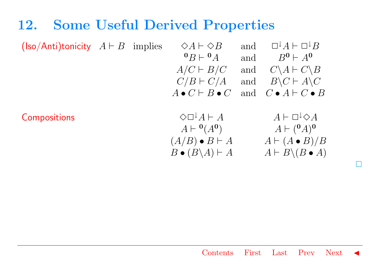#### <span id="page-14-0"></span>12. Some Useful Derived Properties

| ( $\textsf{Iso/Anti}$ )tonicity $A \vdash B$ implies |  | $\Diamond A \vdash \Diamond B$          | and | $\Box^{\downarrow} A \vdash \Box^{\downarrow} B$ |
|------------------------------------------------------|--|-----------------------------------------|-----|--------------------------------------------------|
|                                                      |  | $\mathbf{0}B\vdash \mathbf{0}A$         | and | $B^0 \vdash A^0$                                 |
|                                                      |  | $A/C \vdash B/C$                        | and | $C \backslash A \vdash C \backslash B$           |
|                                                      |  | $C/B \vdash C/A$                        | and | $B \backslash C \vdash A \backslash C$           |
|                                                      |  | $A \bullet C \vdash B \bullet C$        |     | and $C \bullet A \vdash C \bullet B$             |
|                                                      |  |                                         |     |                                                  |
| Compositions                                         |  | $\Diamond \Box^{\downarrow} A \vdash A$ |     | $A \vdash \Box^{\downarrow} \Diamond A$          |
|                                                      |  | $A \vdash^{0} (A^{0})$                  |     | $A \vdash ({}^{\mathbf{0}}A)^{\mathbf{0}}$       |
|                                                      |  | $(A/B) \bullet B \vdash A$              |     | $A \vdash (A \bullet B)/B$                       |
|                                                      |  | $B \bullet (B \backslash A) \vdash A$   |     | $A \vdash B \setminus (B \bullet A)$             |

[✷](#page-10-0)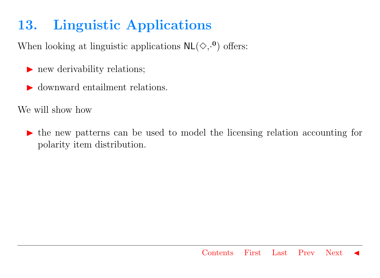# <span id="page-15-0"></span>13. Linguistic Applications

When looking at linguistic applications  $\mathsf{NL}(\diamondsuit, \cdot^0)$  offers:

- $\blacktriangleright$  new derivability relations;
- $\blacktriangleright$  downward entailment relations.

We will show how

In the new patterns can be used to model the licensing relation accounting for polarity item distribution.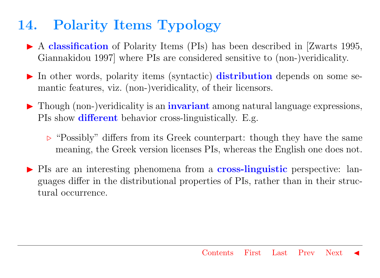#### <span id="page-16-0"></span>14. Polarity Items Typology

- $\triangleright$  A classification of Polarity Items (PIs) has been described in [Zwarts 1995, Giannakidou 1997] where PIs are considered sensitive to (non-)veridicality.
- $\triangleright$  In other words, polarity items (syntactic) distribution depends on some semantic features, viz. (non-)veridicality, of their licensors.
- $\triangleright$  Though (non-)veridicality is an **invariant** among natural language expressions, PIs show **different** behavior cross-linguistically. E.g.
	- $\triangleright$  "Possibly" differs from its Greek counterpart: though they have the same meaning, the Greek version licenses PIs, whereas the English one does not.
- In PIs are an interesting phenomena from a cross-linguistic perspective: languages differ in the distributional properties of PIs, rather than in their structural occurrence.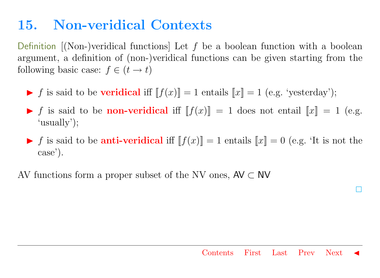#### <span id="page-17-0"></span>15. Non-veridical Contexts

Definition  $\lceil(\text{Non-})\text{vertical functions}\rceil$  Let f be a boolean function with a boolean argument, a definition of (non-)veridical functions can be given starting from the following basic case:  $f \in (t \to t)$ 

- If is said to be veridical iff  $[[f(x)]] = 1$  entails  $[[x]] = 1$  (e.g. 'yesterday');
- If is said to be non-veridical iff  $[f(x)] = 1$  does not entail  $[x] = 1$  (e.g. 'usually');
- If is said to be **anti-veridical** iff  $[f(x)] = 1$  entails  $[x] = 0$  (e.g. 'It is not the case').

AV functions form a proper subset of the NV ones,  $AV \subset NV$ 

[✷](#page-13-0)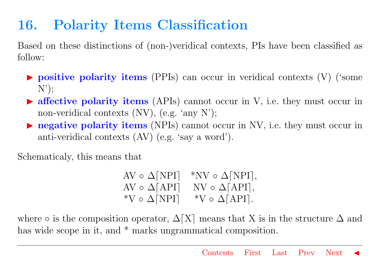# <span id="page-18-0"></span>16. Polarity Items Classification

Based on these distinctions of (non-)veridical contexts, PIs have been classified as follow:

- $\triangleright$  positive polarity items (PPIs) can occur in veridical contexts (V) ('some  $N'$ :
- $\triangleright$  affective polarity items (APIs) cannot occur in V, i.e. they must occur in non-veridical contexts (NV), (e.g. 'any N');
- $\triangleright$  negative polarity items (NPIs) cannot occur in NV, i.e. they must occur in anti-veridical contexts (AV) (e.g. 'say a word').

Schematicaly, this means that

| $AV \circ \Delta[NPI]$  | *NV $\circ \Delta[\text{NPI}],$ |
|-------------------------|---------------------------------|
| AV $\circ \Delta$ [API] | $NV \circ \Delta[API],$         |
| *V $\circ \Delta$ [NPI] | *V $\circ \Delta$ [API].        |

where ∘ is the composition operator,  $\Delta[X]$  means that X is in the structure  $\Delta$  and has wide scope in it, and  $*$  marks ungrammatical composition.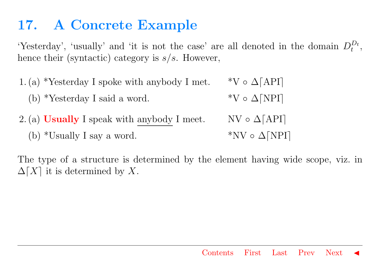### <span id="page-19-0"></span>17. A Concrete Example

'Yesterday', 'usually' and 'it is not the case' are all denoted in the domain  $D_t^{D_t}$ , hence their (syntactic) category is  $s/s$ . However,

- 1. (a) \*Yesterday I spoke with anybody I met. \*V ∘  $\Delta$ [API] (b) \*Yesterday I said a word. \*V ∘  $\Delta$ [NPI] 2. (a) Usually I speak with anybody I meet. NV  $\circ \Delta$ [API]
- (b) \*Usually I say a word. \*NV ∘  $\Delta$ [NPI]

The type of a structure is determined by the element having wide scope, viz. in  $\Delta[X]$  it is determined by X.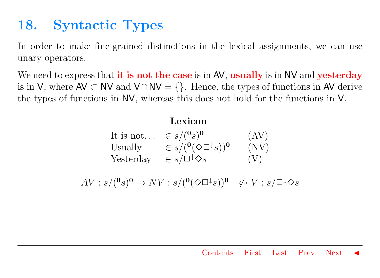### <span id="page-20-0"></span>18. Syntactic Types

In order to make fine-grained distinctions in the lexical assignments, we can use unary operators.

We need to express that it is not the case is in AV, usually is in NV and yesterday is in V, where AV ⊂ NV and  $V \cap NV = \{\}$ . Hence, the types of functions in AV derive the types of functions in NV, whereas this does not hold for the functions in V.

#### Lexicon

It is not...  $\in s/(^{\mathbf{0}}s)^{\mathbf{0}}$ (AV) Usually  $\in s/({^0}(\Diamond \Box^{\downarrow} s))^0$  (NV) Yesterday  $\in s/\Box^{\downarrow} \Diamond s$  (V)

 $AV : s/(^0s)^0 \to NV : s/(^0(\Diamond \Box \bot_s))^0 \quad \nleftrightarrow V : s/\Box \bot \Diamond s$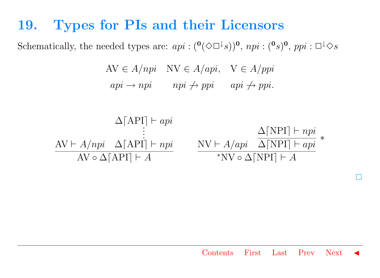#### <span id="page-21-0"></span>19. Types for PIs and their Licensors

Schematically, the needed types are:  $api : (^0(\Diamond \Box \dot{z}))^0$ ,  $npi : (^0s)^0$ ,  $ppi : \Box \dot{\Diamond} s$ 

AV  $\in A/npi$  NV  $\in A/api$ , V  $\in A/ppi$  $api \rightarrow npi$   $npi \not\rightarrow ppi$   $api \not\rightarrow ppi$ .



[✷](#page-9-0)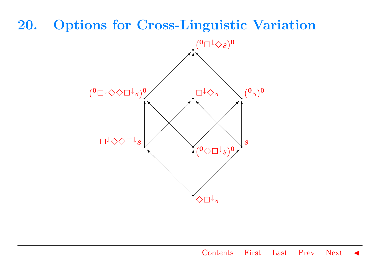#### <span id="page-22-0"></span>20. Options for Cross-Linguistic Variation

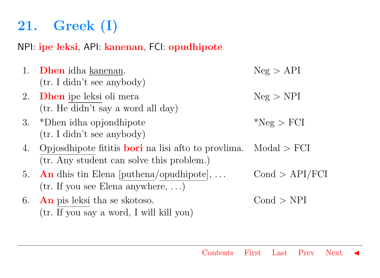# <span id="page-23-0"></span>21. Greek (I)

#### NPI: ipe leksi, API: kanenan, FCI: opudhipote

|    | 1. <b>Dhen</b> idha kanenan.<br>(tr. I didn't see any body)                                                           | Neg > API      |
|----|-----------------------------------------------------------------------------------------------------------------------|----------------|
|    | 2. <b>Dhen</b> ipe leksi oli mera<br>(tr. He didn't say a word all day)                                               | Neg > NPI      |
| 3. | *Dhen idha opjondhipote<br>(tr. I didn't see any body)                                                                | Neg > FCI      |
| 4. | Opjosdhipote fititis <b>bori</b> na lisi afto to provlima. Modal $>$ FCI<br>(tr. Any student can solve this problem.) |                |
| 5. | <b>An</b> dhis tin Elena [puthena/opudhipote], $\dots$<br>(tr. If you see Elena anywhere, )                           | Cond > API/FCI |
| 6. | <b>An</b> pis leksi tha se skotoso.<br>(tr. If you say a word, I will kill you)                                       | Cond > NPI     |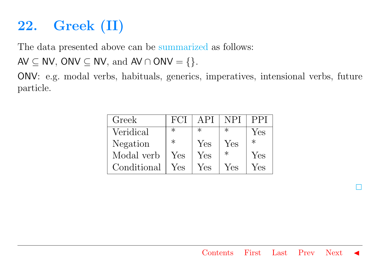# <span id="page-24-0"></span>22. Greek (II)

The data presented above can be [summarized](#page-3-0) as follows:

AV  $\subset$  NV, ONV  $\subset$  NV, and AV  $\cap$  ONV  $=\$  { }.

ONV: e.g. modal verbs, habituals, generics, imperatives, intensional verbs, future particle.

| Greek       | FCI     | A PI | NPI       | PPI    |
|-------------|---------|------|-----------|--------|
| Veridical   | $^\ast$ | ж    | ж         | Yes    |
| Negation    | $^\ast$ | Yes  | Yes       | $\ast$ |
| Modal verb  | Yes     | Yes  | $^{\ast}$ | Yes    |
| Conditional | Yes     | Yes  | Yes       | Yes    |

[✷](#page-3-0)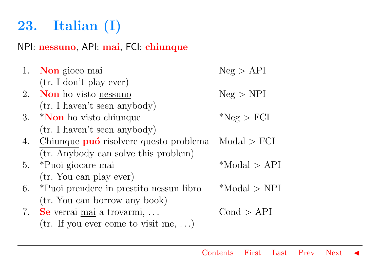# <span id="page-25-0"></span>23. Italian (I)

#### NPI: nessuno, API: mai, FCI: chiunque

|    | 1. Non gioco mai                              | Neg > API      |
|----|-----------------------------------------------|----------------|
|    | (tr. I don't play ever)                       |                |
|    | 2. Non ho visto nessuno                       | Neg > NPI      |
|    | (tr. I haven't seen any body)                 |                |
| 3. | <i>Non</i> ho visto chiunque                  | Neg > FCI      |
|    | (tr. I haven't seen anybody)                  |                |
| 4. | Chiunque <b>puó</b> risolvere questo problema | Modal > FCI    |
|    | (tr. Anybody can solve this problem)          |                |
| 5. | *Puoi giocare mai                             | *Modal > API   |
|    | (tr. You can play ever)                       |                |
| 6. | *Puoi prendere in prestito nessun libro       | $*Modal > NPI$ |
|    | (tr. You can borrow any book)                 |                |
|    | 7. Se verrai mai a trovarmi, $\dots$          | Cond > API     |
|    | $(tr. If you ever come to visit me, )$        |                |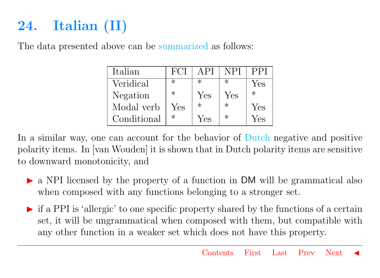# <span id="page-26-0"></span>24. Italian (II)

The data presented above can be [summarized](#page-5-0) as follows:

| Italian     | FC I    | A PI | NPI     | PPI    |
|-------------|---------|------|---------|--------|
| Veridical   | $^\ast$ | ж    |         | Yes    |
| Negation    | $^\ast$ | Yes  | Yes     | $\ast$ |
| Modal verb  | Yes     | ж    | $^\ast$ | Yes    |
| Conditional | $^\ast$ | Yes  | $\ast$  | Yes    |

In a similar way, one can account for the behavior of [Dutch](#page-14-0) negative and positive polarity items. In [van Wouden] it is shown that in Dutch polarity items are sensitive to downward monotonicity, and

- $\triangleright$  a NPI licensed by the property of a function in DM will be grammatical also when composed with any functions belonging to a stronger set.
- $\triangleright$  if a PPI is 'allergic' to one specific property shared by the functions of a certain set, it will be ungrammatical when composed with them, but compatible with any other function in a weaker set which does not have this property.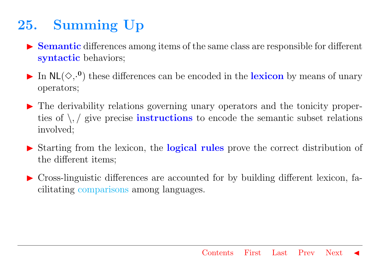# <span id="page-27-0"></span>25. Summing Up

- $\triangleright$  Semantic differences among items of the same class are responsible for different syntactic behaviors;
- In  $NL(\diamondsuit, 0)$  these differences can be encoded in the **lexicon** by means of unary operators;
- In The derivability relations governing unary operators and the tonicity properties of  $\setminus$ , / give precise **instructions** to encode the semantic subset relations involved;
- In Starting from the lexicon, the **logical rules** prove the correct distribution of the different items;
- I Cross-linguistic differences are accounted for by building different lexicon, facilitating [comparisons](#page-6-0) among languages.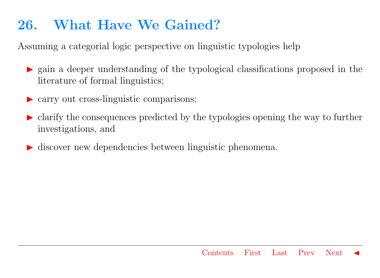### <span id="page-28-0"></span>26. What Have We Gained?

Assuming a categorial logic perspective on linguistic typologies help

- $\triangleright$  gain a deeper understanding of the typological classifications proposed in the literature of formal linguistics;
- ightharpoontriangleright comparisons;  $\triangleright$  carry out cross-linguistic comparisons;
- $\triangleright$  clarify the consequences predicted by the typologies opening the way to further investigations, and
- $\triangleright$  discover new dependencies between linguistic phenomena.